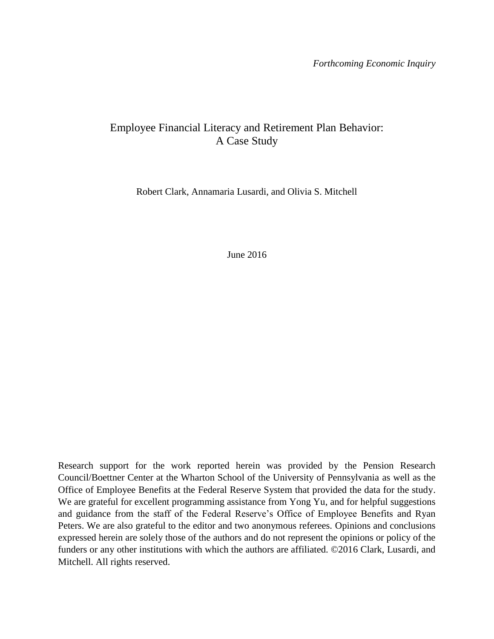*Forthcoming Economic Inquiry*

## Employee Financial Literacy and Retirement Plan Behavior: A Case Study

Robert Clark, Annamaria Lusardi, and Olivia S. Mitchell

June 2016

Research support for the work reported herein was provided by the Pension Research Council/Boettner Center at the Wharton School of the University of Pennsylvania as well as the Office of Employee Benefits at the Federal Reserve System that provided the data for the study. We are grateful for excellent programming assistance from Yong Yu, and for helpful suggestions and guidance from the staff of the Federal Reserve's Office of Employee Benefits and Ryan Peters. We are also grateful to the editor and two anonymous referees. Opinions and conclusions expressed herein are solely those of the authors and do not represent the opinions or policy of the funders or any other institutions with which the authors are affiliated. ©2016 Clark, Lusardi, and Mitchell. All rights reserved.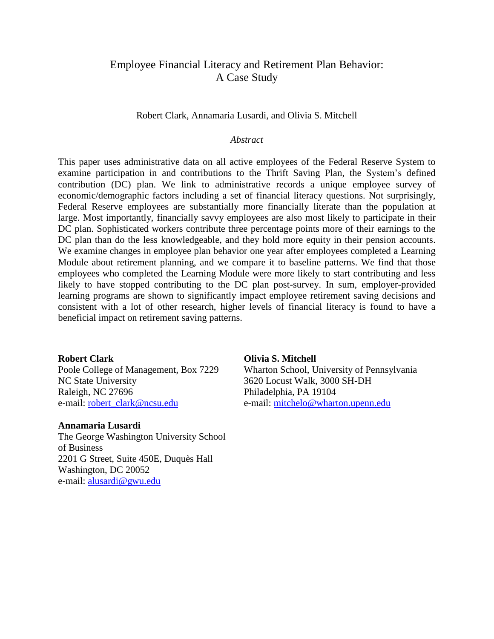## Employee Financial Literacy and Retirement Plan Behavior: A Case Study

#### Robert Clark, Annamaria Lusardi, and Olivia S. Mitchell

#### *Abstract*

This paper uses administrative data on all active employees of the Federal Reserve System to examine participation in and contributions to the Thrift Saving Plan, the System's defined contribution (DC) plan. We link to administrative records a unique employee survey of economic/demographic factors including a set of financial literacy questions. Not surprisingly, Federal Reserve employees are substantially more financially literate than the population at large. Most importantly, financially savvy employees are also most likely to participate in their DC plan. Sophisticated workers contribute three percentage points more of their earnings to the DC plan than do the less knowledgeable, and they hold more equity in their pension accounts. We examine changes in employee plan behavior one year after employees completed a Learning Module about retirement planning, and we compare it to baseline patterns. We find that those employees who completed the Learning Module were more likely to start contributing and less likely to have stopped contributing to the DC plan post-survey. In sum, employer-provided learning programs are shown to significantly impact employee retirement saving decisions and consistent with a lot of other research, higher levels of financial literacy is found to have a beneficial impact on retirement saving patterns.

#### **Robert Clark**

Poole College of Management, Box 7229 NC State University Raleigh, NC 27696 e-mail: [robert\\_clark@ncsu.edu](mailto:robert_clark@ncsu.edu)

#### **Annamaria Lusardi**

The George Washington University School of Business 2201 G Street, Suite 450E, Duquès Hall Washington, DC 20052 e-mail: [alusardi@gwu.edu](mailto:alusardi@gwu.edu)

#### **Olivia S. Mitchell**

Wharton School, University of Pennsylvania 3620 Locust Walk, 3000 SH-DH Philadelphia, PA 19104 e-mail: [mitchelo@wharton.upenn.edu](mailto:mitchelo@wharton.upenn.edu)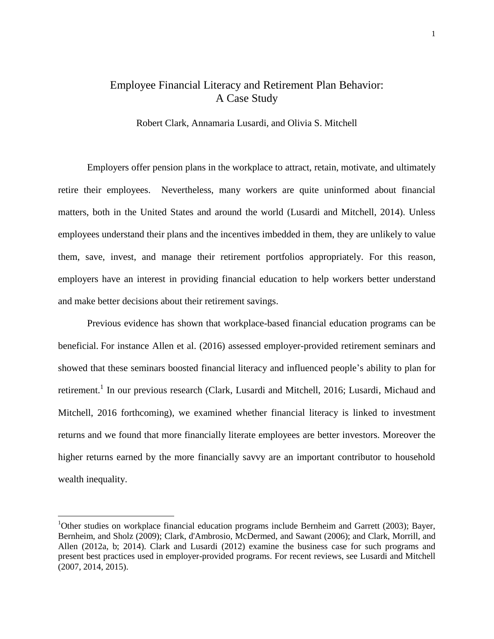## Employee Financial Literacy and Retirement Plan Behavior: A Case Study

Robert Clark, Annamaria Lusardi, and Olivia S. Mitchell

Employers offer pension plans in the workplace to attract, retain, motivate, and ultimately retire their employees. Nevertheless, many workers are quite uninformed about financial matters, both in the United States and around the world (Lusardi and Mitchell, 2014). Unless employees understand their plans and the incentives imbedded in them, they are unlikely to value them, save, invest, and manage their retirement portfolios appropriately. For this reason, employers have an interest in providing financial education to help workers better understand and make better decisions about their retirement savings.

Previous evidence has shown that workplace-based financial education programs can be beneficial. For instance Allen et al. (2016) assessed employer-provided retirement seminars and showed that these seminars boosted financial literacy and influenced people's ability to plan for retirement.<sup>1</sup> In our previous research (Clark, Lusardi and Mitchell, 2016; Lusardi, Michaud and Mitchell, 2016 forthcoming), we examined whether financial literacy is linked to investment returns and we found that more financially literate employees are better investors. Moreover the higher returns earned by the more financially savvy are an important contributor to household wealth inequality.

 $\overline{a}$ 

<sup>&</sup>lt;sup>1</sup>Other studies on workplace financial education programs include Bernheim and Garrett (2003); Bayer, Bernheim, and Sholz (2009); Clark, d'Ambrosio, McDermed, and Sawant (2006); and Clark, Morrill, and Allen (2012a, b; 2014). Clark and Lusardi (2012) examine the business case for such programs and present best practices used in employer-provided programs. For recent reviews, see Lusardi and Mitchell (2007, 2014, 2015).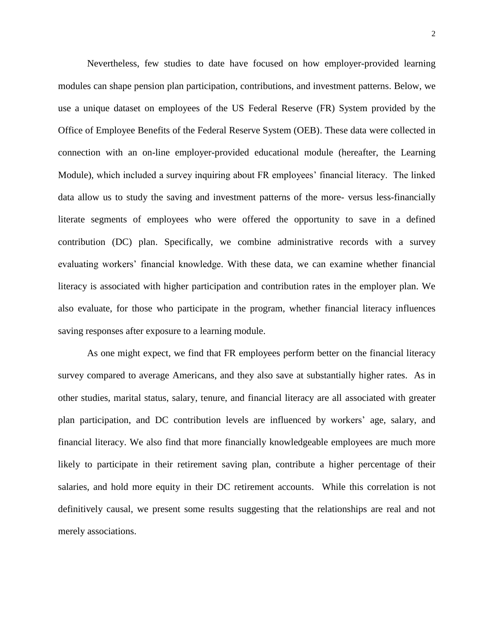Nevertheless, few studies to date have focused on how employer-provided learning modules can shape pension plan participation, contributions, and investment patterns. Below, we use a unique dataset on employees of the US Federal Reserve (FR) System provided by the Office of Employee Benefits of the Federal Reserve System (OEB). These data were collected in connection with an on-line employer-provided educational module (hereafter, the Learning Module), which included a survey inquiring about FR employees' financial literacy. The linked data allow us to study the saving and investment patterns of the more- versus less-financially literate segments of employees who were offered the opportunity to save in a defined contribution (DC) plan. Specifically, we combine administrative records with a survey evaluating workers' financial knowledge. With these data, we can examine whether financial literacy is associated with higher participation and contribution rates in the employer plan. We also evaluate, for those who participate in the program, whether financial literacy influences saving responses after exposure to a learning module.

As one might expect, we find that FR employees perform better on the financial literacy survey compared to average Americans, and they also save at substantially higher rates. As in other studies, marital status, salary, tenure, and financial literacy are all associated with greater plan participation, and DC contribution levels are influenced by workers' age, salary, and financial literacy. We also find that more financially knowledgeable employees are much more likely to participate in their retirement saving plan, contribute a higher percentage of their salaries, and hold more equity in their DC retirement accounts. While this correlation is not definitively causal, we present some results suggesting that the relationships are real and not merely associations.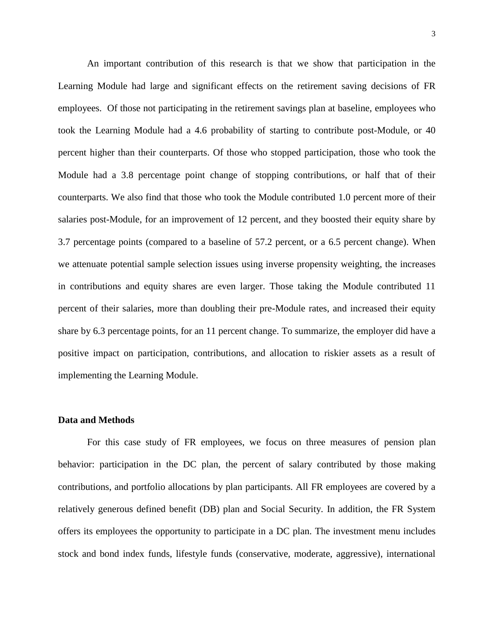An important contribution of this research is that we show that participation in the Learning Module had large and significant effects on the retirement saving decisions of FR employees. Of those not participating in the retirement savings plan at baseline, employees who took the Learning Module had a 4.6 probability of starting to contribute post-Module, or 40 percent higher than their counterparts. Of those who stopped participation, those who took the Module had a 3.8 percentage point change of stopping contributions, or half that of their counterparts. We also find that those who took the Module contributed 1.0 percent more of their salaries post-Module, for an improvement of 12 percent, and they boosted their equity share by 3.7 percentage points (compared to a baseline of 57.2 percent, or a 6.5 percent change). When we attenuate potential sample selection issues using inverse propensity weighting, the increases in contributions and equity shares are even larger. Those taking the Module contributed 11 percent of their salaries, more than doubling their pre-Module rates, and increased their equity share by 6.3 percentage points, for an 11 percent change. To summarize, the employer did have a positive impact on participation, contributions, and allocation to riskier assets as a result of implementing the Learning Module.

#### **Data and Methods**

For this case study of FR employees, we focus on three measures of pension plan behavior: participation in the DC plan, the percent of salary contributed by those making contributions, and portfolio allocations by plan participants. All FR employees are covered by a relatively generous defined benefit (DB) plan and Social Security. In addition, the FR System offers its employees the opportunity to participate in a DC plan. The investment menu includes stock and bond index funds, lifestyle funds (conservative, moderate, aggressive), international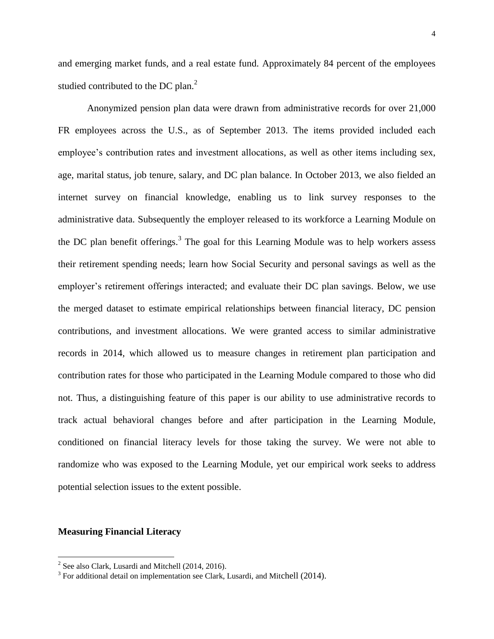and emerging market funds, and a real estate fund. Approximately 84 percent of the employees studied contributed to the DC plan.<sup>2</sup>

Anonymized pension plan data were drawn from administrative records for over 21,000 FR employees across the U.S., as of September 2013. The items provided included each employee's contribution rates and investment allocations, as well as other items including sex, age, marital status, job tenure, salary, and DC plan balance. In October 2013, we also fielded an internet survey on financial knowledge, enabling us to link survey responses to the administrative data. Subsequently the employer released to its workforce a Learning Module on the DC plan benefit offerings.<sup>3</sup> The goal for this Learning Module was to help workers assess their retirement spending needs; learn how Social Security and personal savings as well as the employer's retirement offerings interacted; and evaluate their DC plan savings. Below, we use the merged dataset to estimate empirical relationships between financial literacy, DC pension contributions, and investment allocations. We were granted access to similar administrative records in 2014, which allowed us to measure changes in retirement plan participation and contribution rates for those who participated in the Learning Module compared to those who did not. Thus, a distinguishing feature of this paper is our ability to use administrative records to track actual behavioral changes before and after participation in the Learning Module, conditioned on financial literacy levels for those taking the survey. We were not able to randomize who was exposed to the Learning Module, yet our empirical work seeks to address potential selection issues to the extent possible.

#### **Measuring Financial Literacy**

 $\overline{a}$ 

 $2^2$  See also Clark, Lusardi and Mitchell (2014, 2016).

 $3$  For additional detail on implementation see Clark, Lusardi, and Mitchell (2014).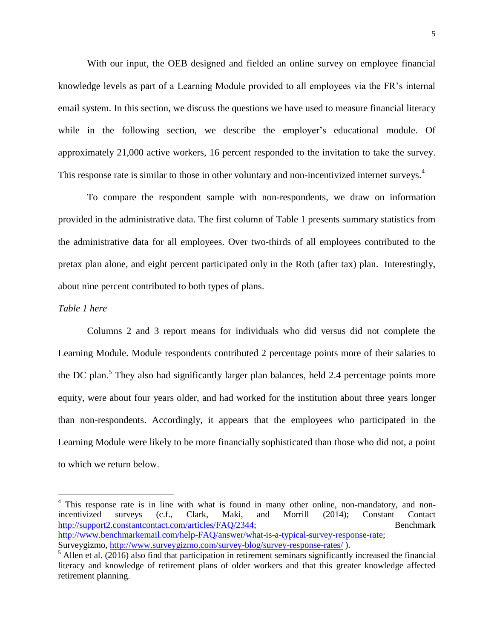With our input, the OEB designed and fielded an online survey on employee financial knowledge levels as part of a Learning Module provided to all employees via the FR's internal email system. In this section, we discuss the questions we have used to measure financial literacy while in the following section, we describe the employer's educational module. Of approximately 21,000 active workers, 16 percent responded to the invitation to take the survey. This response rate is similar to those in other voluntary and non-incentivized internet surveys.<sup>4</sup>

To compare the respondent sample with non-respondents, we draw on information provided in the administrative data. The first column of Table 1 presents summary statistics from the administrative data for all employees. Over two-thirds of all employees contributed to the pretax plan alone, and eight percent participated only in the Roth (after tax) plan. Interestingly, about nine percent contributed to both types of plans.

#### *Table 1 here*

 $\overline{a}$ 

Columns 2 and 3 report means for individuals who did versus did not complete the Learning Module. Module respondents contributed 2 percentage points more of their salaries to the DC plan.<sup>5</sup> They also had significantly larger plan balances, held 2.4 percentage points more equity, were about four years older, and had worked for the institution about three years longer than non-respondents. Accordingly, it appears that the employees who participated in the Learning Module were likely to be more financially sophisticated than those who did not, a point to which we return below.

<sup>&</sup>lt;sup>4</sup> This response rate is in line with what is found in many other online, non-mandatory, and nonincentivized surveys (c.f., Clark, Maki, and Morrill (2014); Constant Contact [http://support2.constantcontact.com/articles/FAQ/2344;](http://support2.constantcontact.com/articles/FAQ/2344) Benchmark [http://www.benchmarkemail.com/help-FAQ/answer/what-is-a-typical-survey-response-rate;](http://www.benchmarkemail.com/help-FAQ/answer/what-is-a-typical-survey-response-rate) Surveygizmo,<http://www.surveygizmo.com/survey-blog/survey-response-rates/> ).

 $<sup>5</sup>$  Allen et al. (2016) also find that participation in retirement seminars significantly increased the financial</sup> literacy and knowledge of retirement plans of older workers and that this greater knowledge affected retirement planning.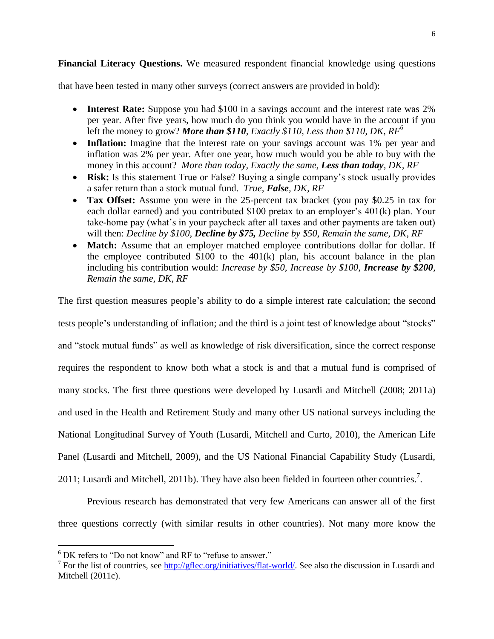**Financial Literacy Questions.** We measured respondent financial knowledge using questions

that have been tested in many other surveys (correct answers are provided in bold):

- Interest Rate: Suppose you had \$100 in a savings account and the interest rate was 2% per year. After five years, how much do you think you would have in the account if you left the money to grow? *More than \$110, Exactly \$110, Less than \$110, DK, RF 6*
- Inflation: Imagine that the interest rate on your savings account was 1% per year and inflation was 2% per year. After one year, how much would you be able to buy with the money in this account? *More than today, Exactly the same, Less than today, DK, RF*
- **Risk:** Is this statement True or False? Buying a single company's stock usually provides a safer return than a stock mutual fund. *True, False, DK, RF*
- **Tax Offset:** Assume you were in the 25-percent tax bracket (you pay \$0.25 in tax for each dollar earned) and you contributed \$100 pretax to an employer's 401(k) plan. Your take-home pay (what's in your paycheck after all taxes and other payments are taken out) will then: *Decline by \$100, Decline by \$75, Decline by \$50, Remain the same, DK, RF*
- Match: Assume that an employer matched employee contributions dollar for dollar. If the employee contributed \$100 to the 401(k) plan, his account balance in the plan including his contribution would: *Increase by \$50, Increase by \$100, Increase by \$200, Remain the same, DK, RF*

The first question measures people's ability to do a simple interest rate calculation; the second tests people's understanding of inflation; and the third is a joint test of knowledge about "stocks" and "stock mutual funds" as well as knowledge of risk diversification, since the correct response requires the respondent to know both what a stock is and that a mutual fund is comprised of many stocks. The first three questions were developed by Lusardi and Mitchell (2008; 2011a) and used in the Health and Retirement Study and many other US national surveys including the National Longitudinal Survey of Youth (Lusardi, Mitchell and Curto, 2010), the American Life Panel (Lusardi and Mitchell, 2009), and the US National Financial Capability Study (Lusardi, 2011; Lusardi and Mitchell, 2011b). They have also been fielded in fourteen other countries.<sup>7</sup>.

Previous research has demonstrated that very few Americans can answer all of the first three questions correctly (with similar results in other countries). Not many more know the

 $\overline{a}$ 

 $6$  DK refers to "Do not know" and RF to "refuse to answer."

<sup>&</sup>lt;sup>7</sup> For the list of countries, see  $\frac{http://gflex.org/initiations/flat-world/}{$ . See also the discussion in Lusardi and Mitchell (2011c).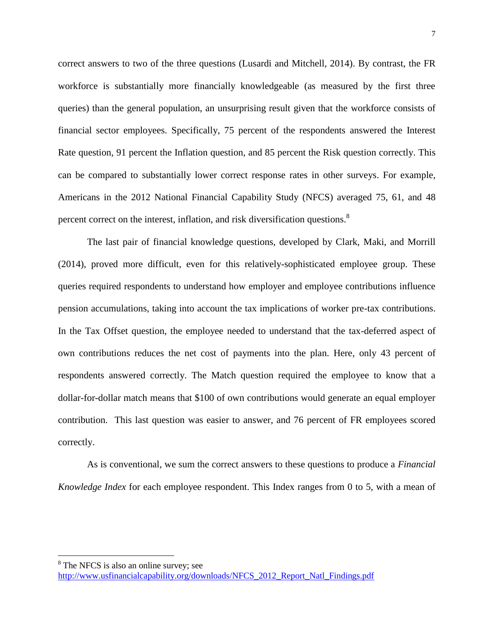correct answers to two of the three questions (Lusardi and Mitchell, 2014). By contrast, the FR workforce is substantially more financially knowledgeable (as measured by the first three queries) than the general population, an unsurprising result given that the workforce consists of financial sector employees. Specifically, 75 percent of the respondents answered the Interest Rate question, 91 percent the Inflation question, and 85 percent the Risk question correctly. This can be compared to substantially lower correct response rates in other surveys. For example, Americans in the 2012 National Financial Capability Study (NFCS) averaged 75, 61, and 48 percent correct on the interest, inflation, and risk diversification questions.<sup>8</sup>

The last pair of financial knowledge questions, developed by Clark, Maki, and Morrill (2014), proved more difficult, even for this relatively-sophisticated employee group. These queries required respondents to understand how employer and employee contributions influence pension accumulations, taking into account the tax implications of worker pre-tax contributions. In the Tax Offset question, the employee needed to understand that the tax-deferred aspect of own contributions reduces the net cost of payments into the plan. Here, only 43 percent of respondents answered correctly. The Match question required the employee to know that a dollar-for-dollar match means that \$100 of own contributions would generate an equal employer contribution. This last question was easier to answer, and 76 percent of FR employees scored correctly.

As is conventional, we sum the correct answers to these questions to produce a *Financial Knowledge Index* for each employee respondent. This Index ranges from 0 to 5, with a mean of

 $\overline{a}$ 

<sup>&</sup>lt;sup>8</sup> The NFCS is also an online survey; see

[http://www.usfinancialcapability.org/downloads/NFCS\\_2012\\_Report\\_Natl\\_Findings.pdf](http://www.usfinancialcapability.org/downloads/NFCS_2012_Report_Natl_Findings.pdf)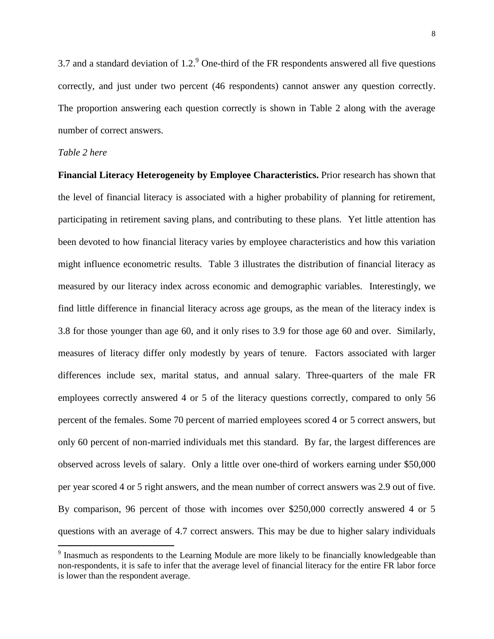3.7 and a standard deviation of 1.2. One-third of the FR respondents answered all five questions correctly, and just under two percent (46 respondents) cannot answer any question correctly. The proportion answering each question correctly is shown in Table 2 along with the average number of correct answers.

### *Table 2 here*

 $\overline{a}$ 

**Financial Literacy Heterogeneity by Employee Characteristics.** Prior research has shown that the level of financial literacy is associated with a higher probability of planning for retirement, participating in retirement saving plans, and contributing to these plans. Yet little attention has been devoted to how financial literacy varies by employee characteristics and how this variation might influence econometric results. Table 3 illustrates the distribution of financial literacy as measured by our literacy index across economic and demographic variables. Interestingly, we find little difference in financial literacy across age groups, as the mean of the literacy index is 3.8 for those younger than age 60, and it only rises to 3.9 for those age 60 and over. Similarly, measures of literacy differ only modestly by years of tenure. Factors associated with larger differences include sex, marital status, and annual salary. Three-quarters of the male FR employees correctly answered 4 or 5 of the literacy questions correctly, compared to only 56 percent of the females. Some 70 percent of married employees scored 4 or 5 correct answers, but only 60 percent of non-married individuals met this standard. By far, the largest differences are observed across levels of salary. Only a little over one-third of workers earning under \$50,000 per year scored 4 or 5 right answers, and the mean number of correct answers was 2.9 out of five. By comparison, 96 percent of those with incomes over \$250,000 correctly answered 4 or 5 questions with an average of 4.7 correct answers. This may be due to higher salary individuals

<sup>&</sup>lt;sup>9</sup> Inasmuch as respondents to the Learning Module are more likely to be financially knowledgeable than non-respondents, it is safe to infer that the average level of financial literacy for the entire FR labor force is lower than the respondent average.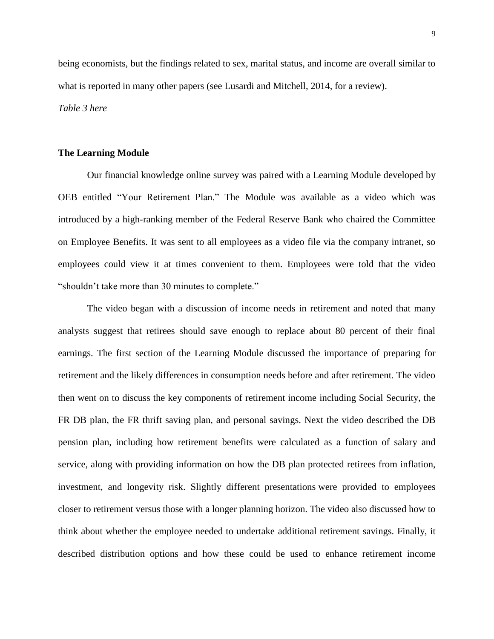being economists, but the findings related to sex, marital status, and income are overall similar to what is reported in many other papers (see Lusardi and Mitchell, 2014, for a review). *Table 3 here*

#### **The Learning Module**

Our financial knowledge online survey was paired with a Learning Module developed by OEB entitled "Your Retirement Plan." The Module was available as a video which was introduced by a high-ranking member of the Federal Reserve Bank who chaired the Committee on Employee Benefits. It was sent to all employees as a video file via the company intranet, so employees could view it at times convenient to them. Employees were told that the video "shouldn't take more than 30 minutes to complete."

The video began with a discussion of income needs in retirement and noted that many analysts suggest that retirees should save enough to replace about 80 percent of their final earnings. The first section of the Learning Module discussed the importance of preparing for retirement and the likely differences in consumption needs before and after retirement. The video then went on to discuss the key components of retirement income including Social Security, the FR DB plan, the FR thrift saving plan, and personal savings. Next the video described the DB pension plan, including how retirement benefits were calculated as a function of salary and service, along with providing information on how the DB plan protected retirees from inflation, investment, and longevity risk. Slightly different presentations were provided to employees closer to retirement versus those with a longer planning horizon. The video also discussed how to think about whether the employee needed to undertake additional retirement savings. Finally, it described distribution options and how these could be used to enhance retirement income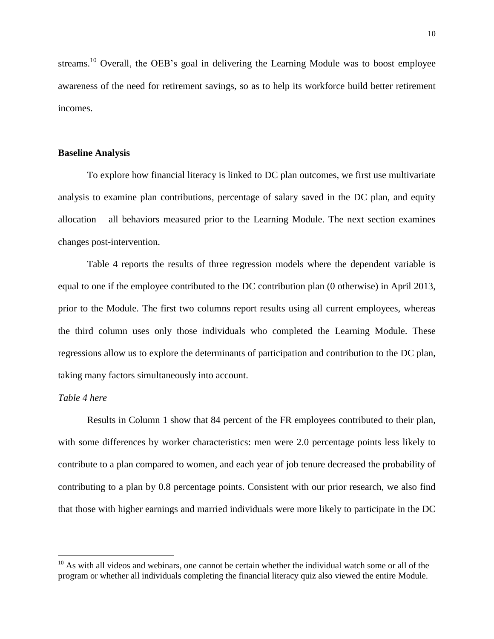streams.<sup>10</sup> Overall, the OEB's goal in delivering the Learning Module was to boost employee awareness of the need for retirement savings, so as to help its workforce build better retirement incomes.

#### **Baseline Analysis**

To explore how financial literacy is linked to DC plan outcomes, we first use multivariate analysis to examine plan contributions, percentage of salary saved in the DC plan, and equity allocation – all behaviors measured prior to the Learning Module. The next section examines changes post-intervention.

Table 4 reports the results of three regression models where the dependent variable is equal to one if the employee contributed to the DC contribution plan (0 otherwise) in April 2013, prior to the Module. The first two columns report results using all current employees, whereas the third column uses only those individuals who completed the Learning Module. These regressions allow us to explore the determinants of participation and contribution to the DC plan, taking many factors simultaneously into account.

#### *Table 4 here*

 $\overline{a}$ 

Results in Column 1 show that 84 percent of the FR employees contributed to their plan, with some differences by worker characteristics: men were 2.0 percentage points less likely to contribute to a plan compared to women, and each year of job tenure decreased the probability of contributing to a plan by 0.8 percentage points. Consistent with our prior research, we also find that those with higher earnings and married individuals were more likely to participate in the DC

 $10$  As with all videos and webinars, one cannot be certain whether the individual watch some or all of the program or whether all individuals completing the financial literacy quiz also viewed the entire Module.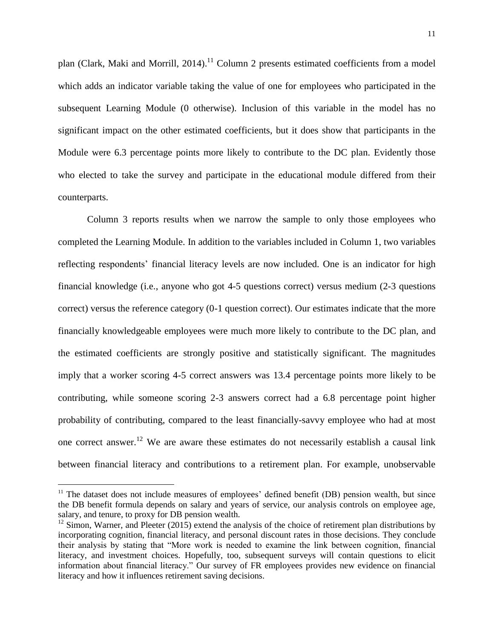plan (Clark, Maki and Morrill, 2014).<sup>11</sup> Column 2 presents estimated coefficients from a model which adds an indicator variable taking the value of one for employees who participated in the subsequent Learning Module (0 otherwise). Inclusion of this variable in the model has no significant impact on the other estimated coefficients, but it does show that participants in the Module were 6.3 percentage points more likely to contribute to the DC plan. Evidently those who elected to take the survey and participate in the educational module differed from their counterparts.

Column 3 reports results when we narrow the sample to only those employees who completed the Learning Module. In addition to the variables included in Column 1, two variables reflecting respondents' financial literacy levels are now included. One is an indicator for high financial knowledge (i.e., anyone who got 4-5 questions correct) versus medium (2-3 questions correct) versus the reference category (0-1 question correct). Our estimates indicate that the more financially knowledgeable employees were much more likely to contribute to the DC plan, and the estimated coefficients are strongly positive and statistically significant. The magnitudes imply that a worker scoring 4-5 correct answers was 13.4 percentage points more likely to be contributing, while someone scoring 2-3 answers correct had a 6.8 percentage point higher probability of contributing, compared to the least financially-savvy employee who had at most one correct answer.<sup>12</sup> We are aware these estimates do not necessarily establish a causal link between financial literacy and contributions to a retirement plan. For example, unobservable

 $\overline{a}$ 

<sup>&</sup>lt;sup>11</sup> The dataset does not include measures of employees' defined benefit (DB) pension wealth, but since the DB benefit formula depends on salary and years of service, our analysis controls on employee age, salary, and tenure, to proxy for DB pension wealth.

 $12$  Simon, Warner, and Pleeter (2015) extend the analysis of the choice of retirement plan distributions by incorporating cognition, financial literacy, and personal discount rates in those decisions. They conclude their analysis by stating that "More work is needed to examine the link between cognition, financial literacy, and investment choices. Hopefully, too, subsequent surveys will contain questions to elicit information about financial literacy." Our survey of FR employees provides new evidence on financial literacy and how it influences retirement saving decisions.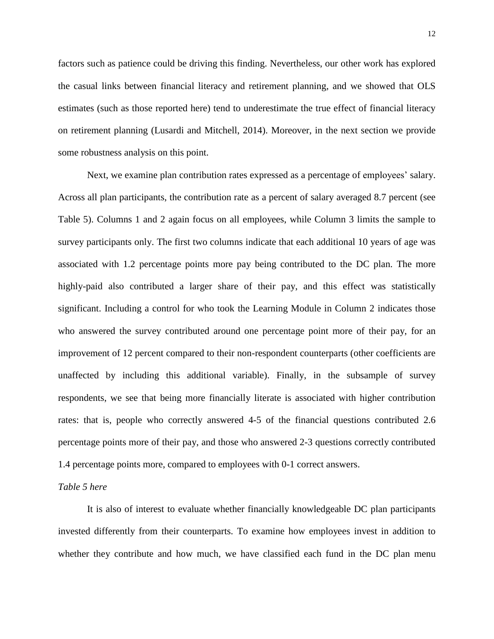factors such as patience could be driving this finding. Nevertheless, our other work has explored the casual links between financial literacy and retirement planning, and we showed that OLS estimates (such as those reported here) tend to underestimate the true effect of financial literacy on retirement planning (Lusardi and Mitchell, 2014). Moreover, in the next section we provide some robustness analysis on this point.

Next, we examine plan contribution rates expressed as a percentage of employees' salary. Across all plan participants, the contribution rate as a percent of salary averaged 8.7 percent (see Table 5). Columns 1 and 2 again focus on all employees, while Column 3 limits the sample to survey participants only. The first two columns indicate that each additional 10 years of age was associated with 1.2 percentage points more pay being contributed to the DC plan. The more highly-paid also contributed a larger share of their pay, and this effect was statistically significant. Including a control for who took the Learning Module in Column 2 indicates those who answered the survey contributed around one percentage point more of their pay, for an improvement of 12 percent compared to their non-respondent counterparts (other coefficients are unaffected by including this additional variable). Finally, in the subsample of survey respondents, we see that being more financially literate is associated with higher contribution rates: that is, people who correctly answered 4-5 of the financial questions contributed 2.6 percentage points more of their pay, and those who answered 2-3 questions correctly contributed 1.4 percentage points more, compared to employees with 0-1 correct answers.

#### *Table 5 here*

It is also of interest to evaluate whether financially knowledgeable DC plan participants invested differently from their counterparts. To examine how employees invest in addition to whether they contribute and how much, we have classified each fund in the DC plan menu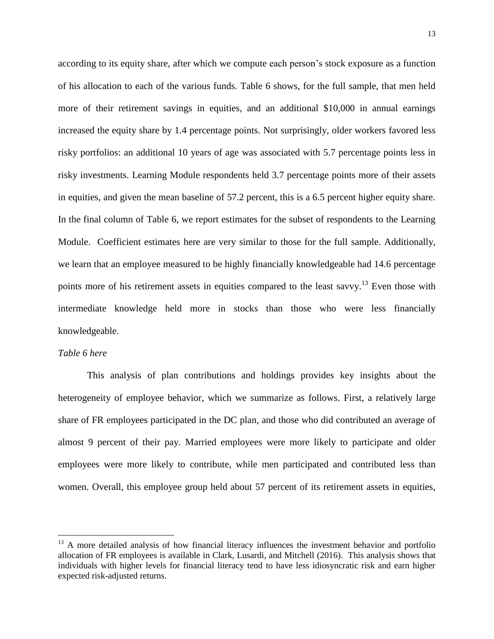according to its equity share, after which we compute each person's stock exposure as a function of his allocation to each of the various funds. Table 6 shows, for the full sample, that men held more of their retirement savings in equities, and an additional \$10,000 in annual earnings increased the equity share by 1.4 percentage points. Not surprisingly, older workers favored less risky portfolios: an additional 10 years of age was associated with 5.7 percentage points less in risky investments. Learning Module respondents held 3.7 percentage points more of their assets in equities, and given the mean baseline of 57.2 percent, this is a 6.5 percent higher equity share. In the final column of Table 6, we report estimates for the subset of respondents to the Learning Module. Coefficient estimates here are very similar to those for the full sample. Additionally, we learn that an employee measured to be highly financially knowledgeable had 14.6 percentage points more of his retirement assets in equities compared to the least savvy.<sup>13</sup> Even those with intermediate knowledge held more in stocks than those who were less financially knowledgeable.

#### *Table 6 here*

 $\overline{a}$ 

This analysis of plan contributions and holdings provides key insights about the heterogeneity of employee behavior, which we summarize as follows. First, a relatively large share of FR employees participated in the DC plan, and those who did contributed an average of almost 9 percent of their pay. Married employees were more likely to participate and older employees were more likely to contribute, while men participated and contributed less than women. Overall, this employee group held about 57 percent of its retirement assets in equities,

 $13$  A more detailed analysis of how financial literacy influences the investment behavior and portfolio allocation of FR employees is available in Clark, Lusardi, and Mitchell (2016). This analysis shows that individuals with higher levels for financial literacy tend to have less idiosyncratic risk and earn higher expected risk-adjusted returns.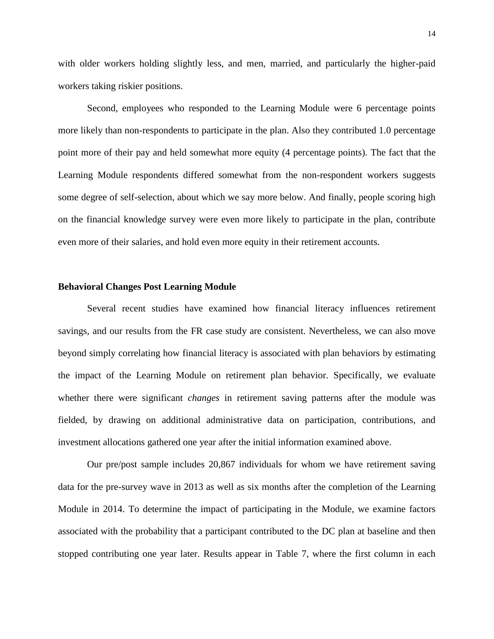with older workers holding slightly less, and men, married, and particularly the higher-paid workers taking riskier positions.

Second, employees who responded to the Learning Module were 6 percentage points more likely than non-respondents to participate in the plan. Also they contributed 1.0 percentage point more of their pay and held somewhat more equity (4 percentage points). The fact that the Learning Module respondents differed somewhat from the non-respondent workers suggests some degree of self-selection, about which we say more below. And finally, people scoring high on the financial knowledge survey were even more likely to participate in the plan, contribute even more of their salaries, and hold even more equity in their retirement accounts.

#### **Behavioral Changes Post Learning Module**

Several recent studies have examined how financial literacy influences retirement savings, and our results from the FR case study are consistent. Nevertheless, we can also move beyond simply correlating how financial literacy is associated with plan behaviors by estimating the impact of the Learning Module on retirement plan behavior. Specifically, we evaluate whether there were significant *changes* in retirement saving patterns after the module was fielded, by drawing on additional administrative data on participation, contributions, and investment allocations gathered one year after the initial information examined above.

Our pre/post sample includes 20,867 individuals for whom we have retirement saving data for the pre-survey wave in 2013 as well as six months after the completion of the Learning Module in 2014. To determine the impact of participating in the Module, we examine factors associated with the probability that a participant contributed to the DC plan at baseline and then stopped contributing one year later. Results appear in Table 7, where the first column in each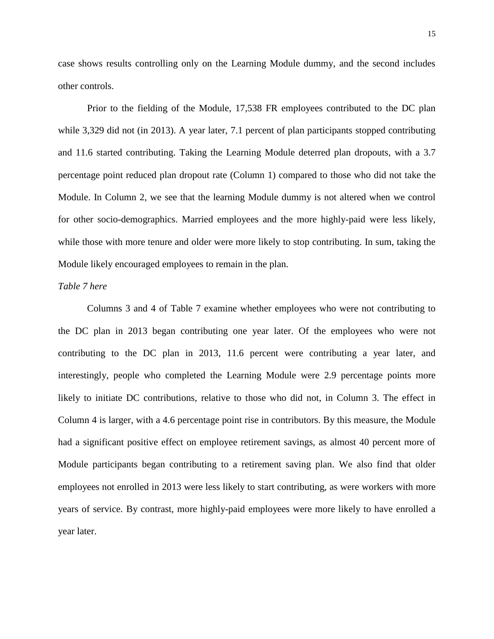case shows results controlling only on the Learning Module dummy, and the second includes other controls.

Prior to the fielding of the Module, 17,538 FR employees contributed to the DC plan while 3,329 did not (in 2013). A year later, 7.1 percent of plan participants stopped contributing and 11.6 started contributing. Taking the Learning Module deterred plan dropouts, with a 3.7 percentage point reduced plan dropout rate (Column 1) compared to those who did not take the Module. In Column 2, we see that the learning Module dummy is not altered when we control for other socio-demographics. Married employees and the more highly-paid were less likely, while those with more tenure and older were more likely to stop contributing. In sum, taking the Module likely encouraged employees to remain in the plan.

#### *Table 7 here*

Columns 3 and 4 of Table 7 examine whether employees who were not contributing to the DC plan in 2013 began contributing one year later. Of the employees who were not contributing to the DC plan in 2013, 11.6 percent were contributing a year later, and interestingly, people who completed the Learning Module were 2.9 percentage points more likely to initiate DC contributions, relative to those who did not, in Column 3. The effect in Column 4 is larger, with a 4.6 percentage point rise in contributors. By this measure, the Module had a significant positive effect on employee retirement savings, as almost 40 percent more of Module participants began contributing to a retirement saving plan. We also find that older employees not enrolled in 2013 were less likely to start contributing, as were workers with more years of service. By contrast, more highly-paid employees were more likely to have enrolled a year later.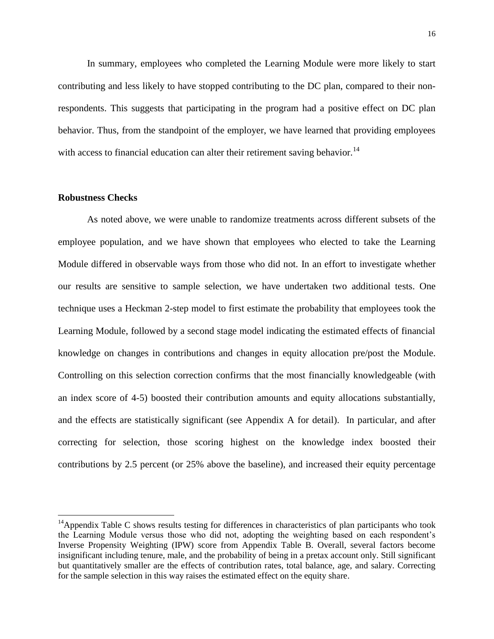In summary, employees who completed the Learning Module were more likely to start contributing and less likely to have stopped contributing to the DC plan, compared to their nonrespondents. This suggests that participating in the program had a positive effect on DC plan behavior. Thus, from the standpoint of the employer, we have learned that providing employees with access to financial education can alter their retirement saving behavior.<sup>14</sup>

#### **Robustness Checks**

 $\overline{a}$ 

As noted above, we were unable to randomize treatments across different subsets of the employee population, and we have shown that employees who elected to take the Learning Module differed in observable ways from those who did not. In an effort to investigate whether our results are sensitive to sample selection, we have undertaken two additional tests. One technique uses a Heckman 2-step model to first estimate the probability that employees took the Learning Module, followed by a second stage model indicating the estimated effects of financial knowledge on changes in contributions and changes in equity allocation pre/post the Module. Controlling on this selection correction confirms that the most financially knowledgeable (with an index score of 4-5) boosted their contribution amounts and equity allocations substantially, and the effects are statistically significant (see Appendix A for detail). In particular, and after correcting for selection, those scoring highest on the knowledge index boosted their contributions by 2.5 percent (or 25% above the baseline), and increased their equity percentage

<sup>&</sup>lt;sup>14</sup>Appendix Table C shows results testing for differences in characteristics of plan participants who took the Learning Module versus those who did not, adopting the weighting based on each respondent's Inverse Propensity Weighting (IPW) score from Appendix Table B. Overall, several factors become insignificant including tenure, male, and the probability of being in a pretax account only. Still significant but quantitatively smaller are the effects of contribution rates, total balance, age, and salary. Correcting for the sample selection in this way raises the estimated effect on the equity share.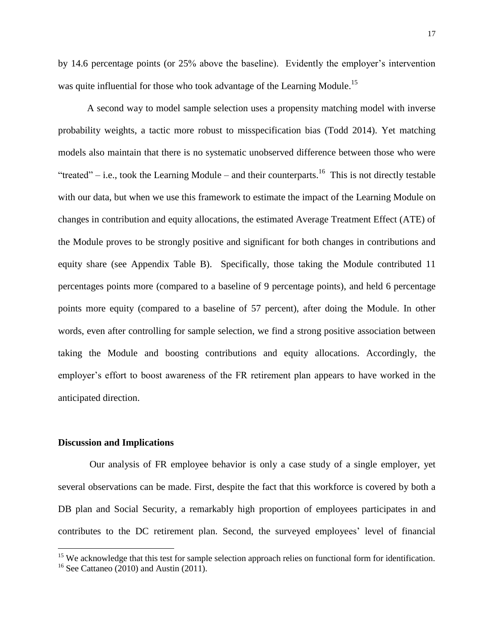by 14.6 percentage points (or 25% above the baseline). Evidently the employer's intervention was quite influential for those who took advantage of the Learning Module.<sup>15</sup>

A second way to model sample selection uses a propensity matching model with inverse probability weights, a tactic more robust to misspecification bias (Todd 2014). Yet matching models also maintain that there is no systematic unobserved difference between those who were "treated" – i.e., took the Learning Module – and their counterparts.<sup>16</sup> This is not directly testable with our data, but when we use this framework to estimate the impact of the Learning Module on changes in contribution and equity allocations, the estimated Average Treatment Effect (ATE) of the Module proves to be strongly positive and significant for both changes in contributions and equity share (see Appendix Table B). Specifically, those taking the Module contributed 11 percentages points more (compared to a baseline of 9 percentage points), and held 6 percentage points more equity (compared to a baseline of 57 percent), after doing the Module. In other words, even after controlling for sample selection, we find a strong positive association between taking the Module and boosting contributions and equity allocations. Accordingly, the employer's effort to boost awareness of the FR retirement plan appears to have worked in the anticipated direction.

#### **Discussion and Implications**

 $\overline{a}$ 

Our analysis of FR employee behavior is only a case study of a single employer, yet several observations can be made. First, despite the fact that this workforce is covered by both a DB plan and Social Security, a remarkably high proportion of employees participates in and contributes to the DC retirement plan. Second, the surveyed employees' level of financial

<sup>&</sup>lt;sup>15</sup> We acknowledge that this test for sample selection approach relies on functional form for identification.

 $16$  See Cattaneo (2010) and Austin (2011).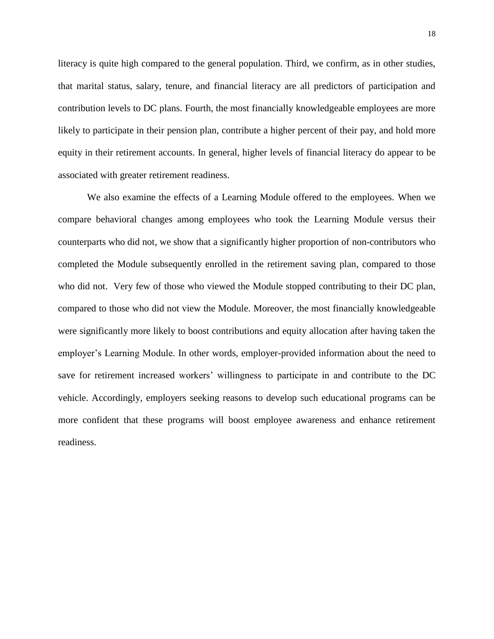literacy is quite high compared to the general population. Third, we confirm, as in other studies, that marital status, salary, tenure, and financial literacy are all predictors of participation and contribution levels to DC plans. Fourth, the most financially knowledgeable employees are more likely to participate in their pension plan, contribute a higher percent of their pay, and hold more equity in their retirement accounts. In general, higher levels of financial literacy do appear to be associated with greater retirement readiness.

We also examine the effects of a Learning Module offered to the employees. When we compare behavioral changes among employees who took the Learning Module versus their counterparts who did not, we show that a significantly higher proportion of non-contributors who completed the Module subsequently enrolled in the retirement saving plan, compared to those who did not. Very few of those who viewed the Module stopped contributing to their DC plan, compared to those who did not view the Module. Moreover, the most financially knowledgeable were significantly more likely to boost contributions and equity allocation after having taken the employer's Learning Module. In other words, employer-provided information about the need to save for retirement increased workers' willingness to participate in and contribute to the DC vehicle. Accordingly, employers seeking reasons to develop such educational programs can be more confident that these programs will boost employee awareness and enhance retirement readiness.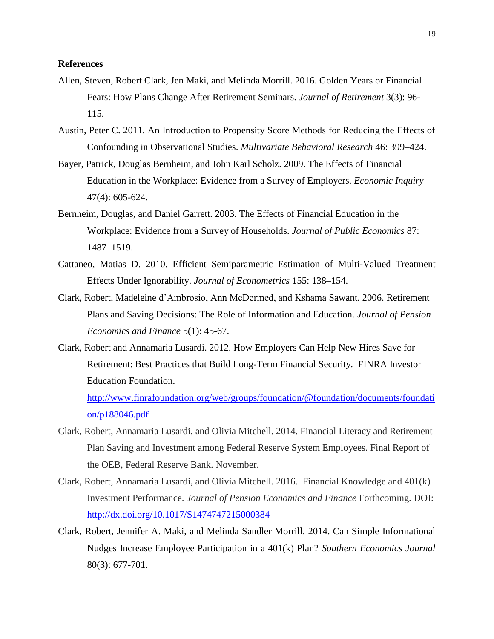#### **References**

- Allen, Steven, Robert Clark, Jen Maki, and Melinda Morrill. 2016. Golden Years or Financial Fears: How Plans Change After Retirement Seminars. *Journal of Retirement* 3(3): 96- 115.
- Austin, Peter C. 2011. An Introduction to Propensity Score Methods for Reducing the Effects of Confounding in Observational Studies. *Multivariate Behavioral Research* 46: 399–424.
- Bayer, Patrick, Douglas Bernheim, and John Karl Scholz. 2009. The Effects of Financial Education in the Workplace: Evidence from a Survey of Employers. *Economic Inquiry* 47(4): 605-624.
- Bernheim, Douglas, and Daniel Garrett. 2003. The Effects of Financial Education in the Workplace: Evidence from a Survey of Households. *Journal of Public Economics* 87: 1487–1519.
- Cattaneo, Matias D. 2010. Efficient Semiparametric Estimation of Multi-Valued Treatment Effects Under Ignorability. *Journal of Econometrics* 155: 138–154.
- Clark, Robert, Madeleine d'Ambrosio, Ann McDermed, and Kshama Sawant. 2006. Retirement Plans and Saving Decisions: The Role of Information and Education. *Journal of Pension Economics and Finance* 5(1): 45-67.
- Clark, Robert and Annamaria Lusardi. 2012. How Employers Can Help New Hires Save for Retirement: Best Practices that Build Long-Term Financial Security. FINRA Investor Education Foundation.

[http://www.finrafoundation.org/web/groups/foundation/@foundation/documents/foundati](http://www.finrafoundation.org/web/groups/foundation/@foundation/documents/foundation/p188046.pdf) [on/p188046.pdf](http://www.finrafoundation.org/web/groups/foundation/@foundation/documents/foundation/p188046.pdf)

- Clark, Robert, Annamaria Lusardi, and Olivia Mitchell. 2014. Financial Literacy and Retirement Plan Saving and Investment among Federal Reserve System Employees. Final Report of the OEB, Federal Reserve Bank. November.
- Clark, Robert, Annamaria Lusardi, and Olivia Mitchell. 2016. Financial Knowledge and 401(k) Investment Performance. *Journal of Pension Economics and Finance* Forthcoming. DOI: <http://dx.doi.org/10.1017/S1474747215000384>
- Clark, Robert, Jennifer A. Maki, and Melinda Sandler Morrill. 2014. Can Simple Informational Nudges Increase Employee Participation in a 401(k) Plan? *Southern Economics Journal* 80(3): 677-701.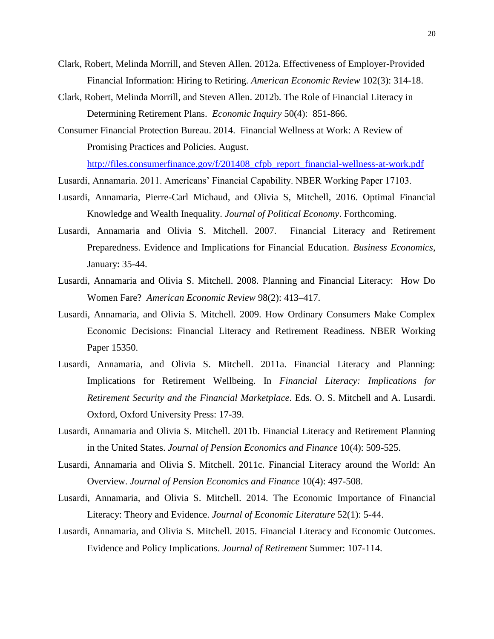- Clark, Robert, Melinda Morrill, and Steven Allen. 2012a. Effectiveness of Employer-Provided Financial Information: Hiring to Retiring. *American Economic Review* 102(3): 314-18.
- Clark, Robert, Melinda Morrill, and Steven Allen. 2012b. The Role of Financial Literacy in Determining Retirement Plans. *Economic Inquiry* 50(4): 851-866.
- Consumer Financial Protection Bureau. 2014. Financial Wellness at Work: A Review of Promising Practices and Policies. August.

[http://files.consumerfinance.gov/f/201408\\_cfpb\\_report\\_financial-wellness-at-work.pdf](http://files.consumerfinance.gov/f/201408_cfpb_report_financial-wellness-at-work.pdf)

- Lusardi, Annamaria. 2011. Americans' Financial Capability. NBER Working Paper 17103.
- Lusardi, Annamaria, Pierre-Carl Michaud, and Olivia S, Mitchell, 2016. Optimal Financial Knowledge and Wealth Inequality. *Journal of Political Economy*. Forthcoming.
- Lusardi, Annamaria and Olivia S. Mitchell. 2007. Financial Literacy and Retirement Preparedness. Evidence and Implications for Financial Education. *Business Economics*, January: 35-44.
- Lusardi, Annamaria and Olivia S. Mitchell. 2008. Planning and Financial Literacy: How Do Women Fare? *American Economic Review* 98(2): 413–417.
- Lusardi, Annamaria, and Olivia S. Mitchell. 2009. How Ordinary Consumers Make Complex Economic Decisions: Financial Literacy and Retirement Readiness. NBER Working Paper 15350.
- Lusardi, Annamaria, and Olivia S. Mitchell. 2011a. Financial Literacy and Planning: Implications for Retirement Wellbeing. In *Financial Literacy: Implications for Retirement Security and the Financial Marketplace*. Eds. O. S. Mitchell and A. Lusardi. Oxford, Oxford University Press: 17-39.
- Lusardi, Annamaria and Olivia S. Mitchell. 2011b. Financial Literacy and Retirement Planning in the United States. *Journal of Pension Economics and Finance* 10(4): 509-525.
- Lusardi, Annamaria and Olivia S. Mitchell. 2011c. Financial Literacy around the World: An Overview. *Journal of Pension Economics and Finance* 10(4): 497-508.
- Lusardi, Annamaria, and Olivia S. Mitchell. 2014. The Economic Importance of Financial Literacy: Theory and Evidence. *Journal of Economic Literature* 52(1): 5-44.
- Lusardi, Annamaria, and Olivia S. Mitchell. 2015. Financial Literacy and Economic Outcomes. Evidence and Policy Implications. *Journal of Retirement* Summer: 107-114.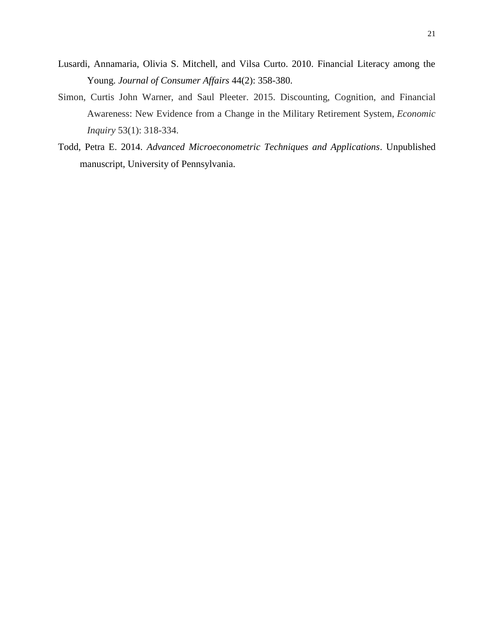- Lusardi, Annamaria, Olivia S. Mitchell, and Vilsa Curto. 2010. Financial Literacy among the Young. *Journal of Consumer Affairs* 44(2): 358-380.
- Simon, Curtis John Warner, and Saul Pleeter. 2015. Discounting, Cognition, and Financial Awareness: New Evidence from a Change in the Military Retirement System, *Economic Inquiry* 53(1): 318-334.
- Todd, Petra E. 2014. *Advanced Microeconometric Techniques and Applications*. Unpublished manuscript, University of Pennsylvania.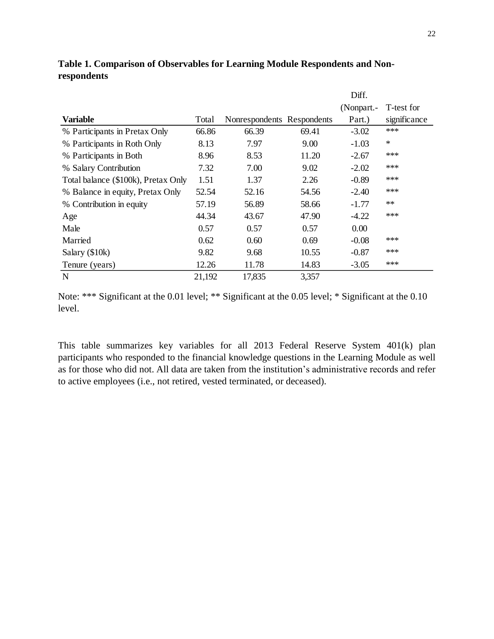|                                     |        |                            |       | (Nonpart.- | T-test for   |
|-------------------------------------|--------|----------------------------|-------|------------|--------------|
| <b>Variable</b>                     | Total  | Nonrespondents Respondents |       | Part.)     | significance |
| % Participants in Pretax Only       | 66.86  | 66.39                      | 69.41 | $-3.02$    | ***          |
| % Participants in Roth Only         | 8.13   | 7.97                       | 9.00  | $-1.03$    | $\ast$       |
| % Participants in Both              | 8.96   | 8.53                       | 11.20 | $-2.67$    | ***          |
| % Salary Contribution               | 7.32   | 7.00                       | 9.02  | $-2.02$    | ***          |
| Total balance (\$100k), Pretax Only | 1.51   | 1.37                       | 2.26  | $-0.89$    | ***          |
| % Balance in equity, Pretax Only    | 52.54  | 52.16                      | 54.56 | $-2.40$    | ***          |
| % Contribution in equity            | 57.19  | 56.89                      | 58.66 | $-1.77$    | $\ast\ast$   |
| Age                                 | 44.34  | 43.67                      | 47.90 | $-4.22$    | ***          |
| Male                                | 0.57   | 0.57                       | 0.57  | 0.00       |              |
| Married                             | 0.62   | 0.60                       | 0.69  | $-0.08$    | ***          |
| Salary (\$10k)                      | 9.82   | 9.68                       | 10.55 | $-0.87$    | ***          |
| Tenure (years)                      | 12.26  | 11.78                      | 14.83 | $-3.05$    | ***          |
| N                                   | 21,192 | 17,835                     | 3,357 |            |              |

**Table 1. Comparison of Observables for Learning Module Respondents and Nonrespondents**

Note: \*\*\* Significant at the 0.01 level; \*\* Significant at the 0.05 level; \* Significant at the 0.10 level.

This table summarizes key variables for all 2013 Federal Reserve System 401(k) plan participants who responded to the financial knowledge questions in the Learning Module as well as for those who did not. All data are taken from the institution's administrative records and refer to active employees (i.e., not retired, vested terminated, or deceased).

Diff.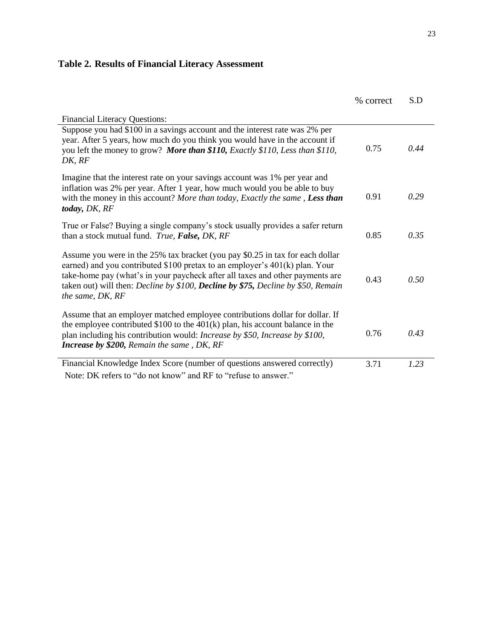# **Table 2. Results of Financial Literacy Assessment**

|                                                                                                                                                                                                                                                                                                                                                         | % correct | S.D  |
|---------------------------------------------------------------------------------------------------------------------------------------------------------------------------------------------------------------------------------------------------------------------------------------------------------------------------------------------------------|-----------|------|
| <b>Financial Literacy Questions:</b>                                                                                                                                                                                                                                                                                                                    |           |      |
| Suppose you had \$100 in a savings account and the interest rate was 2% per<br>year. After 5 years, how much do you think you would have in the account if<br>you left the money to grow? More than \$110, Exactly \$110, Less than \$110,<br>DK, RF                                                                                                    | 0.75      | 0.44 |
| Imagine that the interest rate on your savings account was 1% per year and<br>inflation was 2% per year. After 1 year, how much would you be able to buy<br>with the money in this account? More than today, Exactly the same, Less than<br>today, DK, RF                                                                                               | 0.91      | 0.29 |
| True or False? Buying a single company's stock usually provides a safer return<br>than a stock mutual fund. True, False, DK, RF                                                                                                                                                                                                                         | 0.85      | 0.35 |
| Assume you were in the 25% tax bracket (you pay \$0.25 in tax for each dollar<br>earned) and you contributed \$100 pretax to an employer's $401(k)$ plan. Your<br>take-home pay (what's in your paycheck after all taxes and other payments are<br>taken out) will then: Decline by \$100, Decline by \$75, Decline by \$50, Remain<br>the same, DK, RF | 0.43      | 0.50 |
| Assume that an employer matched employee contributions dollar for dollar. If<br>the employee contributed \$100 to the $401(k)$ plan, his account balance in the<br>plan including his contribution would: Increase by \$50, Increase by \$100,<br><b>Increase by \$200, Remain the same, DK, RF</b>                                                     | 0.76      | 0.43 |
| Financial Knowledge Index Score (number of questions answered correctly)                                                                                                                                                                                                                                                                                | 3.71      | 1.23 |
| Note: DK refers to "do not know" and RF to "refuse to answer."                                                                                                                                                                                                                                                                                          |           |      |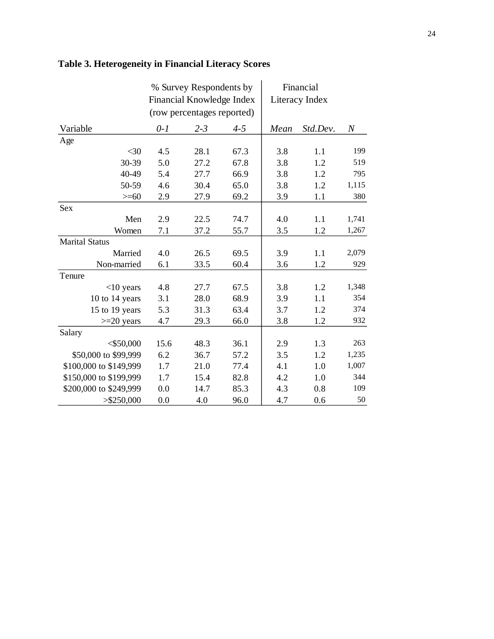# **Table 3. Heterogeneity in Financial Literacy Scores**

|                        | % Survey Respondents by   |                            |         | Financial      |          |       |
|------------------------|---------------------------|----------------------------|---------|----------------|----------|-------|
|                        | Financial Knowledge Index |                            |         | Literacy Index |          |       |
|                        |                           | (row percentages reported) |         |                |          |       |
| Variable               | $0-1$                     | $2 - 3$                    | $4 - 5$ | Mean           | Std.Dev. | $\,N$ |
| Age                    |                           |                            |         |                |          |       |
| $<$ 30                 | 4.5                       | 28.1                       | 67.3    | 3.8            | 1.1      | 199   |
| 30-39                  | 5.0                       | 27.2                       | 67.8    | 3.8            | 1.2      | 519   |
| 40-49                  | 5.4                       | 27.7                       | 66.9    | 3.8            | 1.2      | 795   |
| 50-59                  | 4.6                       | 30.4                       | 65.0    | 3.8            | 1.2      | 1,115 |
| $>= 60$                | 2.9                       | 27.9                       | 69.2    | 3.9            | 1.1      | 380   |
| <b>Sex</b>             |                           |                            |         |                |          |       |
| Men                    | 2.9                       | 22.5                       | 74.7    | 4.0            | 1.1      | 1,741 |
| Women                  | 7.1                       | 37.2                       | 55.7    | 3.5            | 1.2      | 1,267 |
| <b>Marital Status</b>  |                           |                            |         |                |          |       |
| Married                | 4.0                       | 26.5                       | 69.5    | 3.9            | 1.1      | 2,079 |
| Non-married            | 6.1                       | 33.5                       | 60.4    | 3.6            | 1.2      | 929   |
| Tenure                 |                           |                            |         |                |          |       |
| $<$ 10 years           | 4.8                       | 27.7                       | 67.5    | 3.8            | 1.2      | 1,348 |
| 10 to 14 years         | 3.1                       | 28.0                       | 68.9    | 3.9            | 1.1      | 354   |
| 15 to 19 years         | 5.3                       | 31.3                       | 63.4    | 3.7            | 1.2      | 374   |
| $>=20$ years           | 4.7                       | 29.3                       | 66.0    | 3.8            | 1.2      | 932   |
| Salary                 |                           |                            |         |                |          |       |
| $<$ \$50,000           | 15.6                      | 48.3                       | 36.1    | 2.9            | 1.3      | 263   |
| \$50,000 to \$99,999   | 6.2                       | 36.7                       | 57.2    | 3.5            | 1.2      | 1,235 |
| \$100,000 to \$149,999 | 1.7                       | 21.0                       | 77.4    | 4.1            | 1.0      | 1,007 |
| \$150,000 to \$199,999 | 1.7                       | 15.4                       | 82.8    | 4.2            | 1.0      | 344   |
| \$200,000 to \$249,999 | 0.0                       | 14.7                       | 85.3    | 4.3            | 0.8      | 109   |
| > \$250,000            | 0.0                       | 4.0                        | 96.0    | 4.7            | 0.6      | 50    |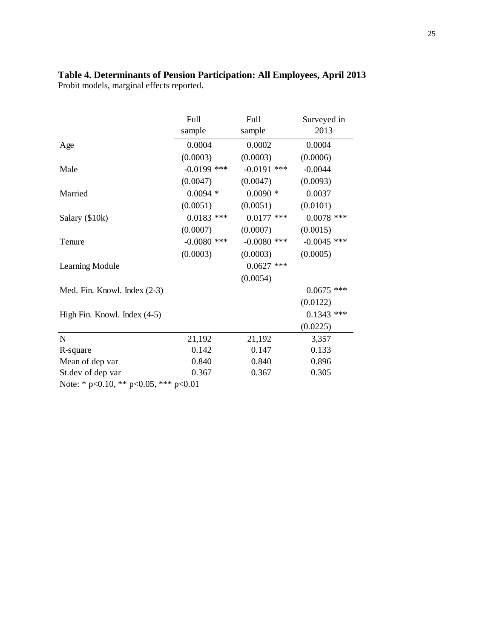#### **Table 4. Determinants of Pension Participation: All Employees, April 2013** Probit models, marginal effects reported.

|                                               | Full          | Full          | Surveyed in   |
|-----------------------------------------------|---------------|---------------|---------------|
|                                               | sample        | sample        | 2013          |
| Age                                           | 0.0004        | 0.0002        | 0.0004        |
|                                               | (0.0003)      | (0.0003)      | (0.0006)      |
| Male                                          | $-0.0199$ *** | $-0.0191$ *** | $-0.0044$     |
|                                               | (0.0047)      | (0.0047)      | (0.0093)      |
| Married                                       | $0.0094$ *    | $0.0090*$     | 0.0037        |
|                                               | (0.0051)      | (0.0051)      | (0.0101)      |
| Salary (\$10k)                                | $0.0183$ ***  | $0.0177$ ***  | $0.0078$ ***  |
|                                               | (0.0007)      | (0.0007)      | (0.0015)      |
| Tenure                                        | $-0.0080$ *** | $-0.0080$ *** | $-0.0045$ *** |
|                                               | (0.0003)      | (0.0003)      | (0.0005)      |
| Learning Module                               |               | $0.0627$ ***  |               |
|                                               |               | (0.0054)      |               |
| Med. Fin. Knowl. Index (2-3)                  |               |               | $0.0675$ ***  |
|                                               |               |               | (0.0122)      |
| High Fin. Knowl. Index (4-5)                  |               |               | $0.1343$ ***  |
|                                               |               |               | (0.0225)      |
| $\mathbf N$                                   | 21,192        | 21,192        | 3,357         |
| R-square                                      | 0.142         | 0.147         | 0.133         |
| Mean of dep var                               | 0.840         | 0.840         | 0.896         |
| St.dev of dep var                             | 0.367         | 0.367         | 0.305         |
| Note: * $p<0.10$ , ** $p<0.05$ , *** $p<0.01$ |               |               |               |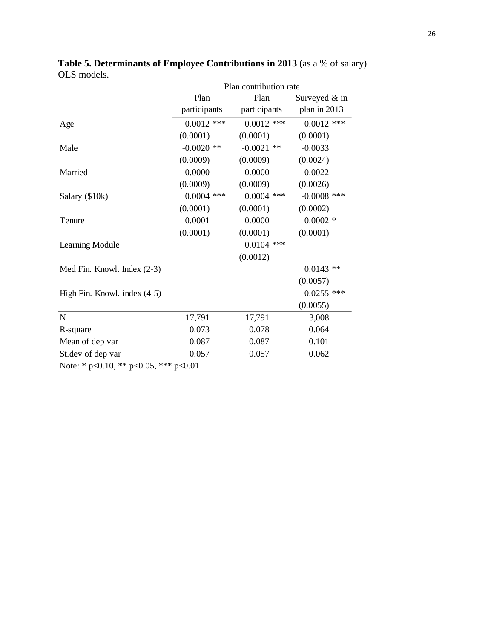|                                               |              | Plan contribution rate |               |
|-----------------------------------------------|--------------|------------------------|---------------|
|                                               | Plan         | Plan                   | Surveyed & in |
|                                               | participants | participants           | plan in 2013  |
| Age                                           | $0.0012$ *** | $0.0012$ ***           | $0.0012$ ***  |
|                                               | (0.0001)     | (0.0001)               | (0.0001)      |
| Male                                          | $-0.0020$ ** | $-0.0021$ **           | $-0.0033$     |
|                                               | (0.0009)     | (0.0009)               | (0.0024)      |
| Married                                       | 0.0000       | 0.0000                 | 0.0022        |
|                                               | (0.0009)     | (0.0009)               | (0.0026)      |
| Salary (\$10k)                                | $0.0004$ *** | $0.0004$ ***           | $-0.0008$ *** |
|                                               | (0.0001)     | (0.0001)               | (0.0002)      |
| Tenure                                        | 0.0001       | 0.0000                 | $0.0002$ *    |
|                                               | (0.0001)     | (0.0001)               | (0.0001)      |
| Learning Module                               |              | $0.0104$ ***           |               |
|                                               |              | (0.0012)               |               |
| Med Fin. Knowl. Index (2-3)                   |              |                        | $0.0143$ **   |
|                                               |              |                        | (0.0057)      |
| High Fin. Knowl. index (4-5)                  |              |                        | $0.0255$ ***  |
|                                               |              |                        | (0.0055)      |
| $\mathbf N$                                   | 17,791       | 17,791                 | 3,008         |
| R-square                                      | 0.073        | 0.078                  | 0.064         |
| Mean of dep var                               | 0.087        | 0.087                  | 0.101         |
| St.dev of dep var                             | 0.057        | 0.057                  | 0.062         |
| Note: * $p<0.10$ , ** $p<0.05$ , *** $p<0.01$ |              |                        |               |

**Table 5. Determinants of Employee Contributions in 2013** (as a % of salary) OLS models.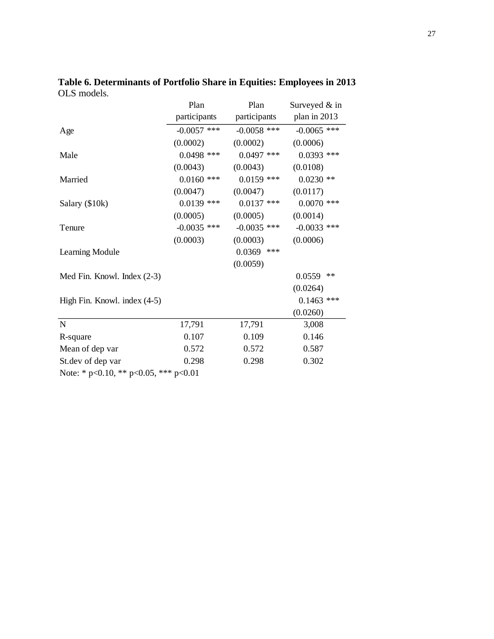|                                       | Plan          | Plan          | Surveyed $&$ in |
|---------------------------------------|---------------|---------------|-----------------|
|                                       | participants  | participants  | plan in 2013    |
| Age                                   | $-0.0057$ *** | $-0.0058$ *** | $-0.0065$ ***   |
|                                       | (0.0002)      | (0.0002)      | (0.0006)        |
| Male                                  | $0.0498$ ***  | $0.0497$ ***  | $0.0393$ ***    |
|                                       | (0.0043)      | (0.0043)      | (0.0108)        |
| Married                               | $0.0160$ ***  | $0.0159$ ***  | $0.0230$ **     |
|                                       | (0.0047)      | (0.0047)      | (0.0117)        |
| Salary (\$10k)                        | $0.0139$ ***  | $0.0137$ ***  | $0.0070$ ***    |
|                                       | (0.0005)      | (0.0005)      | (0.0014)        |
| Tenure                                | $-0.0035$ *** | $-0.0035$ *** | $-0.0033$ ***   |
|                                       | (0.0003)      | (0.0003)      | (0.0006)        |
| Learning Module                       |               | $0.0369$ ***  |                 |
|                                       |               | (0.0059)      |                 |
| Med Fin. Knowl. Index (2-3)           |               |               | $**$<br>0.0559  |
|                                       |               |               | (0.0264)        |
| High Fin. Knowl. index (4-5)          |               |               | $0.1463$ ***    |
|                                       |               |               | (0.0260)        |
| $\mathbf N$                           | 17,791        | 17,791        | 3,008           |
| R-square                              | 0.107         | 0.109         | 0.146           |
| Mean of dep var                       | 0.572         | 0.572         | 0.587           |
| St.dev of dep var                     | 0.298         | 0.298         | 0.302           |
| Note: * p<0.10, ** p<0.05, *** p<0.01 |               |               |                 |

**Table 6. Determinants of Portfolio Share in Equities: Employees in 2013** OLS models.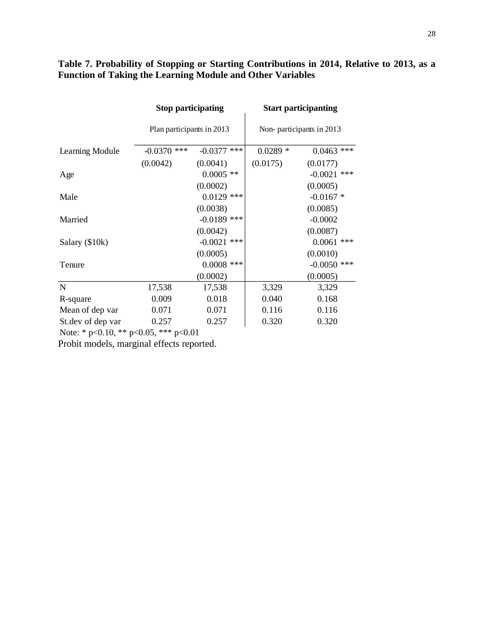### **Table 7. Probability of Stopping or Starting Contributions in 2014, Relative to 2013, as a Function of Taking the Learning Module and Other Variables**

|                                                      | <b>Stop participating</b> |                  | <b>Start participanting</b> |                  |  |
|------------------------------------------------------|---------------------------|------------------|-----------------------------|------------------|--|
|                                                      | Plan participants in 2013 |                  | Non-participants in 2013    |                  |  |
| Learning Module                                      | $-0.0370$ ***             | ***<br>$-0.0377$ | $0.0289*$                   | $0.0463$ ***     |  |
|                                                      | (0.0042)                  | (0.0041)         | (0.0175)                    | (0.0177)         |  |
| Age                                                  |                           | $0.0005$ **      |                             | $-0.0021$<br>*** |  |
|                                                      |                           | (0.0002)         |                             | (0.0005)         |  |
| Male                                                 |                           | $0.0129$ ***     |                             | $-0.0167$ *      |  |
|                                                      |                           | (0.0038)         |                             | (0.0085)         |  |
| Married                                              |                           | $-0.0189$ ***    |                             | $-0.0002$        |  |
|                                                      |                           | (0.0042)         |                             | (0.0087)         |  |
| Salary (\$10k)                                       |                           | $-0.0021$ ***    |                             | $0.0061$ ***     |  |
|                                                      |                           | (0.0005)         |                             | (0.0010)         |  |
| Tenure                                               |                           | $0.0008$ ***     |                             | $-0.0050$ ***    |  |
|                                                      |                           | (0.0002)         |                             | (0.0005)         |  |
| $\mathbf N$                                          | 17,538                    | 17,538           | 3,329                       | 3,329            |  |
| R-square                                             | 0.009                     | 0.018            | 0.040                       | 0.168            |  |
| Mean of dep var                                      | 0.071                     | 0.071            | 0.116                       | 0.116            |  |
| St.dev of dep var                                    | 0.257                     | 0.257            | 0.320                       | 0.320            |  |
| Note: $* n \le 0.10$ $** n \le 0.05$ $** n \le 0.01$ |                           |                  |                             |                  |  |

Note: \* p<0.10, \*\* p<0.05, \*\*\* p<0.01

Probit models, marginal effects reported.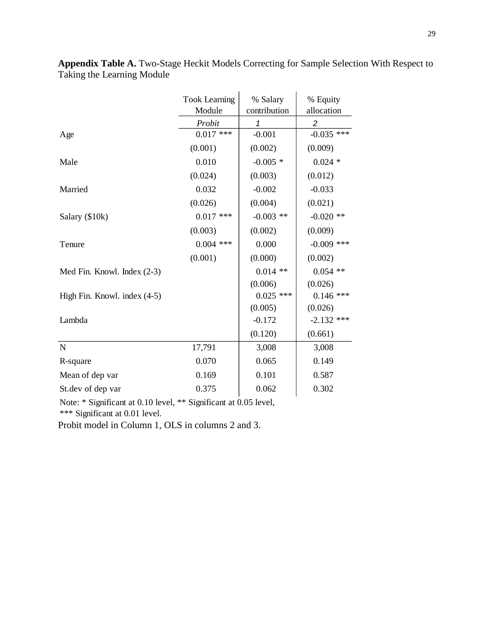|                              | <b>Took Learning</b> | % Salary     | % Equity       |
|------------------------------|----------------------|--------------|----------------|
|                              | Module               | contribution | allocation     |
|                              | Probit               | 1            | $\overline{c}$ |
| Age                          | $0.017$ ***          | $-0.001$     | $-0.035$ ***   |
|                              | (0.001)              | (0.002)      | (0.009)        |
| Male                         | 0.010                | $-0.005*$    | $0.024*$       |
|                              | (0.024)              | (0.003)      | (0.012)        |
| Married                      | 0.032                | $-0.002$     | $-0.033$       |
|                              | (0.026)              | (0.004)      | (0.021)        |
| Salary (\$10k)               | $0.017$ ***          | $-0.003$ **  | $-0.020$ **    |
|                              | (0.003)              | (0.002)      | (0.009)        |
| Tenure                       | $0.004$ ***          | 0.000        | $-0.009$ ***   |
|                              | (0.001)              | (0.000)      | (0.002)        |
| Med Fin. Knowl. Index (2-3)  |                      | $0.014$ **   | $0.054$ **     |
|                              |                      | (0.006)      | (0.026)        |
| High Fin. Knowl. index (4-5) |                      | $0.025$ ***  | $0.146$ ***    |
|                              |                      | (0.005)      | (0.026)        |
| Lambda                       |                      | $-0.172$     | $-2.132$ ***   |
|                              |                      | (0.120)      | (0.661)        |
| $\mathbf N$                  | 17,791               | 3,008        | 3,008          |
| R-square                     | 0.070                | 0.065        | 0.149          |
| Mean of dep var              | 0.169                | 0.101        | 0.587          |
| St.dev of dep var            | 0.375                | 0.062        | 0.302          |

**Appendix Table A.** Two-Stage Heckit Models Correcting for Sample Selection With Respect to Taking the Learning Module

Note: \* Significant at 0.10 level, \*\* Significant at 0.05 level,

\*\*\* Significant at 0.01 level.

Probit model in Column 1, OLS in columns 2 and 3.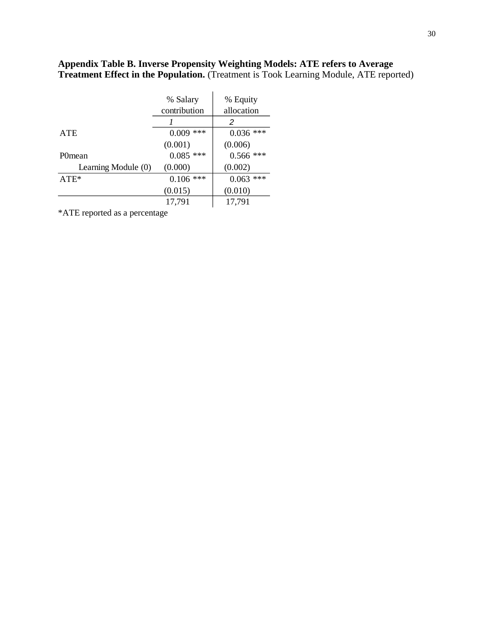### **Appendix Table B. Inverse Propensity Weighting Models: ATE refers to Average Treatment Effect in the Population.** (Treatment is Took Learning Module, ATE reported)

 $\mathbf{r}$ 

|                     | % Salary     | % Equity     |
|---------------------|--------------|--------------|
|                     | contribution | allocation   |
|                     |              | 2            |
| <b>ATE</b>          | 0.009<br>*** | 0.036<br>*** |
|                     | (0.001)      | (0.006)      |
| P0 <sub>mean</sub>  | 0.085<br>*** | 0.566<br>*** |
| Learning Module (0) | (0.000)      | (0.002)      |
| $ATE*$              | $0.106$ ***  | ***<br>0.063 |
|                     | (0.015)      | (0.010)      |
|                     | 17,791       | 17,791       |

\*ATE reported as a percentage